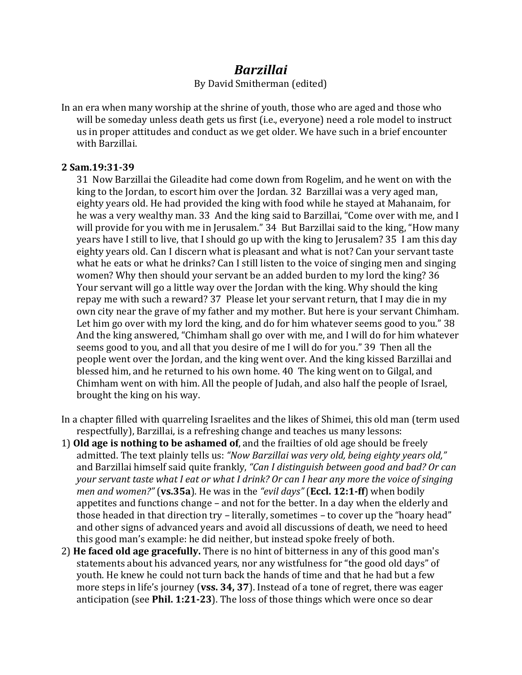## *Barzillai*

By David Smitherman (edited)

In an era when many worship at the shrine of youth, those who are aged and those who will be someday unless death gets us first (i.e., everyone) need a role model to instruct us in proper attitudes and conduct as we get older. We have such in a brief encounter with Barzillai.

## **2!Sam.19:31+39**

31 Now Barzillai the Gileadite had come down from Rogelim, and he went on with the king to the Jordan, to escort him over the Jordan. 32 Barzillai was a very aged man, eighty years old. He had provided the king with food while he stayed at Mahanaim, for he was a very wealthy man. 33 And the king said to Barzillai, "Come over with me, and I will provide for you with me in Jerusalem." 34 But Barzillai said to the king, "How many years have I still to live, that I should go up with the king to Jerusalem? 35 I am this day eighty years old. Can I discern what is pleasant and what is not? Can your servant taste what he eats or what he drinks? Can I still listen to the voice of singing men and singing women? Why then should your servant be an added burden to my lord the king? 36 Your servant will go a little way over the Jordan with the king. Why should the king repay me with such a reward? 37 Please let your servant return, that I may die in my own city near the grave of my father and my mother. But here is your servant Chimham. Let him go over with my lord the king, and do for him whatever seems good to you."  $38$ And the king answered, "Chimham shall go over with me, and I will do for him whatever seems good to you, and all that you desire of me I will do for you." 39 Then all the people went over the Jordan, and the king went over. And the king kissed Barzillai and blessed him, and he returned to his own home. 40 The king went on to Gilgal, and Chimham went on with him. All the people of Judah, and also half the people of Israel, brought the king on his way.

- In a chapter filled with quarreling Israelites and the likes of Shimei, this old man (term used respectfully), Barzillai, is a refreshing change and teaches us many lessons:
- 1) **Old age is nothing to be ashamed of**, and the frailties of old age should be freely admitted. The text plainly tells us: "Now Barzillai was very old, being eighty years old," and Barzillai himself said quite frankly, "Can I distinguish between good and bad? Or can *your servant taste what I eat or what I drink? Or can I hear any more the voice of singing men and women?"* (**vs.35a**). He was in the "*evil days"* (**Eccl. 12:1-ff**) when bodily appetites and functions change – and not for the better. In a day when the elderly and those headed in that direction try *–* literally, sometimes *–* to cover up the "hoary head" and other signs of advanced years and avoid all discussions of death, we need to heed this good man's example: he did neither, but instead spoke freely of both.
- 2) **He faced old age gracefully.** There is no hint of bitterness in any of this good man's statements about his advanced years, nor any wistfulness for "the good old days" of youth. He knew he could not turn back the hands of time and that he had but a few more steps in life's journey (**vss.** 34, 37). Instead of a tone of regret, there was eager anticipation (see **Phil. 1:21-23**). The loss of those things which were once so dear